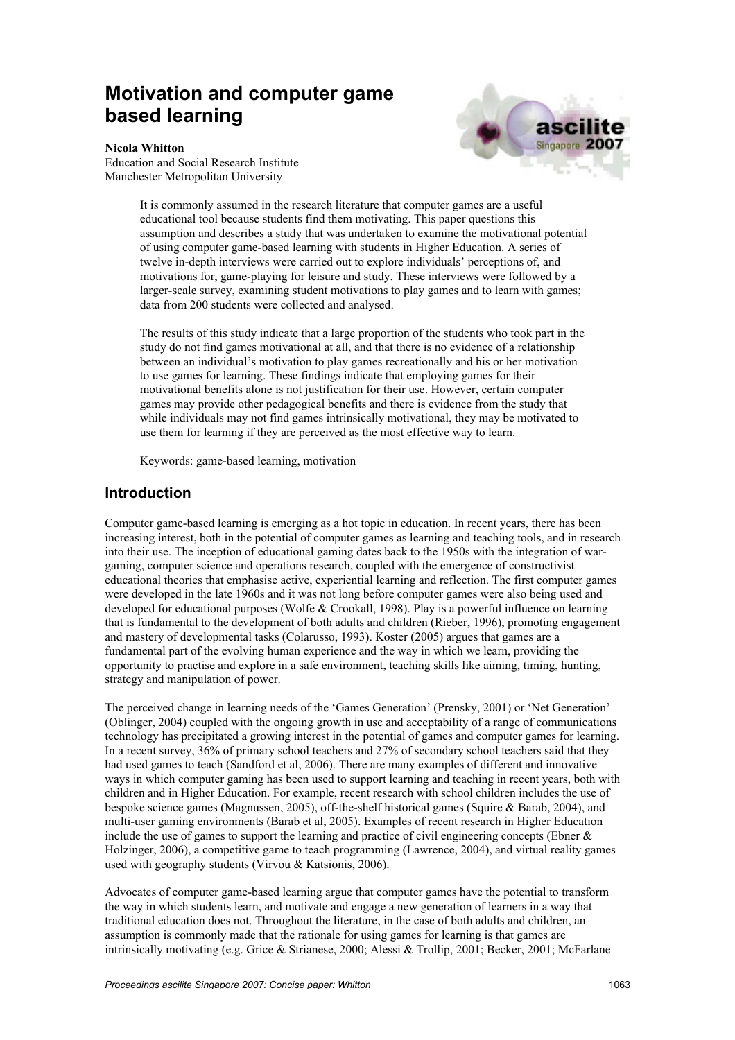# **Motivation and computer game based learning**



#### **Nicola Whitton**

Education and Social Research Institute Manchester Metropolitan University

> It is commonly assumed in the research literature that computer games are a useful educational tool because students find them motivating. This paper questions this assumption and describes a study that was undertaken to examine the motivational potential of using computer game-based learning with students in Higher Education. A series of twelve in-depth interviews were carried out to explore individuals' perceptions of, and motivations for, game-playing for leisure and study. These interviews were followed by a larger-scale survey, examining student motivations to play games and to learn with games; data from 200 students were collected and analysed.

> The results of this study indicate that a large proportion of the students who took part in the study do not find games motivational at all, and that there is no evidence of a relationship between an individual's motivation to play games recreationally and his or her motivation to use games for learning. These findings indicate that employing games for their motivational benefits alone is not justification for their use. However, certain computer games may provide other pedagogical benefits and there is evidence from the study that while individuals may not find games intrinsically motivational, they may be motivated to use them for learning if they are perceived as the most effective way to learn.

Keywords: game-based learning, motivation

#### **Introduction**

Computer game-based learning is emerging as a hot topic in education. In recent years, there has been increasing interest, both in the potential of computer games as learning and teaching tools, and in research into their use. The inception of educational gaming dates back to the 1950s with the integration of wargaming, computer science and operations research, coupled with the emergence of constructivist educational theories that emphasise active, experiential learning and reflection. The first computer games were developed in the late 1960s and it was not long before computer games were also being used and developed for educational purposes (Wolfe & Crookall, 1998). Play is a powerful influence on learning that is fundamental to the development of both adults and children (Rieber, 1996), promoting engagement and mastery of developmental tasks (Colarusso, 1993). Koster (2005) argues that games are a fundamental part of the evolving human experience and the way in which we learn, providing the opportunity to practise and explore in a safe environment, teaching skills like aiming, timing, hunting, strategy and manipulation of power.

The perceived change in learning needs of the 'Games Generation' (Prensky, 2001) or 'Net Generation' (Oblinger, 2004) coupled with the ongoing growth in use and acceptability of a range of communications technology has precipitated a growing interest in the potential of games and computer games for learning. In a recent survey, 36% of primary school teachers and 27% of secondary school teachers said that they had used games to teach (Sandford et al, 2006). There are many examples of different and innovative ways in which computer gaming has been used to support learning and teaching in recent years, both with children and in Higher Education. For example, recent research with school children includes the use of bespoke science games (Magnussen, 2005), off-the-shelf historical games (Squire & Barab, 2004), and multi-user gaming environments (Barab et al, 2005). Examples of recent research in Higher Education include the use of games to support the learning and practice of civil engineering concepts (Ebner  $\&$ Holzinger, 2006), a competitive game to teach programming (Lawrence, 2004), and virtual reality games used with geography students (Virvou & Katsionis, 2006).

Advocates of computer game-based learning argue that computer games have the potential to transform the way in which students learn, and motivate and engage a new generation of learners in a way that traditional education does not. Throughout the literature, in the case of both adults and children, an assumption is commonly made that the rationale for using games for learning is that games are intrinsically motivating (e.g. Grice & Strianese, 2000; Alessi & Trollip, 2001; Becker, 2001; McFarlane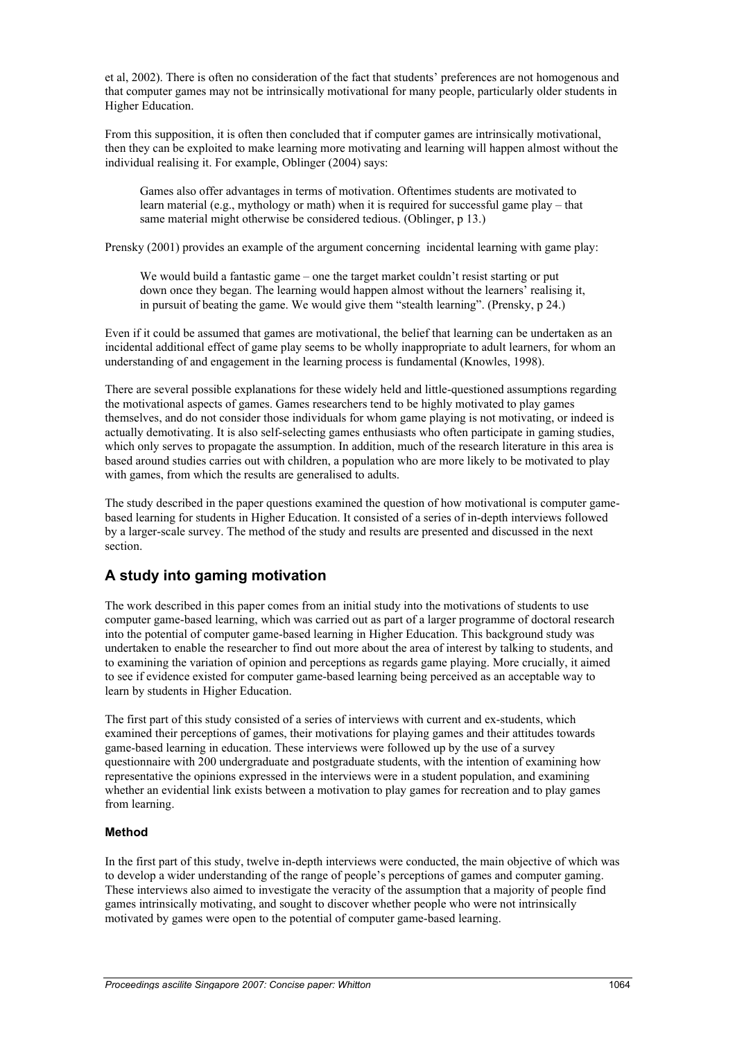et al, 2002). There is often no consideration of the fact that students' preferences are not homogenous and that computer games may not be intrinsically motivational for many people, particularly older students in Higher Education.

From this supposition, it is often then concluded that if computer games are intrinsically motivational, then they can be exploited to make learning more motivating and learning will happen almost without the individual realising it. For example, Oblinger (2004) says:

Games also offer advantages in terms of motivation. Oftentimes students are motivated to learn material (e.g., mythology or math) when it is required for successful game play – that same material might otherwise be considered tedious. (Oblinger, p 13.)

Prensky (2001) provides an example of the argument concerning incidental learning with game play:

We would build a fantastic game – one the target market couldn't resist starting or put down once they began. The learning would happen almost without the learners' realising it, in pursuit of beating the game. We would give them "stealth learning". (Prensky, p 24.)

Even if it could be assumed that games are motivational, the belief that learning can be undertaken as an incidental additional effect of game play seems to be wholly inappropriate to adult learners, for whom an understanding of and engagement in the learning process is fundamental (Knowles, 1998).

There are several possible explanations for these widely held and little-questioned assumptions regarding the motivational aspects of games. Games researchers tend to be highly motivated to play games themselves, and do not consider those individuals for whom game playing is not motivating, or indeed is actually demotivating. It is also self-selecting games enthusiasts who often participate in gaming studies, which only serves to propagate the assumption. In addition, much of the research literature in this area is based around studies carries out with children, a population who are more likely to be motivated to play with games, from which the results are generalised to adults.

The study described in the paper questions examined the question of how motivational is computer gamebased learning for students in Higher Education. It consisted of a series of in-depth interviews followed by a larger-scale survey. The method of the study and results are presented and discussed in the next section.

# **A study into gaming motivation**

The work described in this paper comes from an initial study into the motivations of students to use computer game-based learning, which was carried out as part of a larger programme of doctoral research into the potential of computer game-based learning in Higher Education. This background study was undertaken to enable the researcher to find out more about the area of interest by talking to students, and to examining the variation of opinion and perceptions as regards game playing. More crucially, it aimed to see if evidence existed for computer game-based learning being perceived as an acceptable way to learn by students in Higher Education.

The first part of this study consisted of a series of interviews with current and ex-students, which examined their perceptions of games, their motivations for playing games and their attitudes towards game-based learning in education. These interviews were followed up by the use of a survey questionnaire with 200 undergraduate and postgraduate students, with the intention of examining how representative the opinions expressed in the interviews were in a student population, and examining whether an evidential link exists between a motivation to play games for recreation and to play games from learning.

#### **Method**

In the first part of this study, twelve in-depth interviews were conducted, the main objective of which was to develop a wider understanding of the range of people's perceptions of games and computer gaming. These interviews also aimed to investigate the veracity of the assumption that a majority of people find games intrinsically motivating, and sought to discover whether people who were not intrinsically motivated by games were open to the potential of computer game-based learning.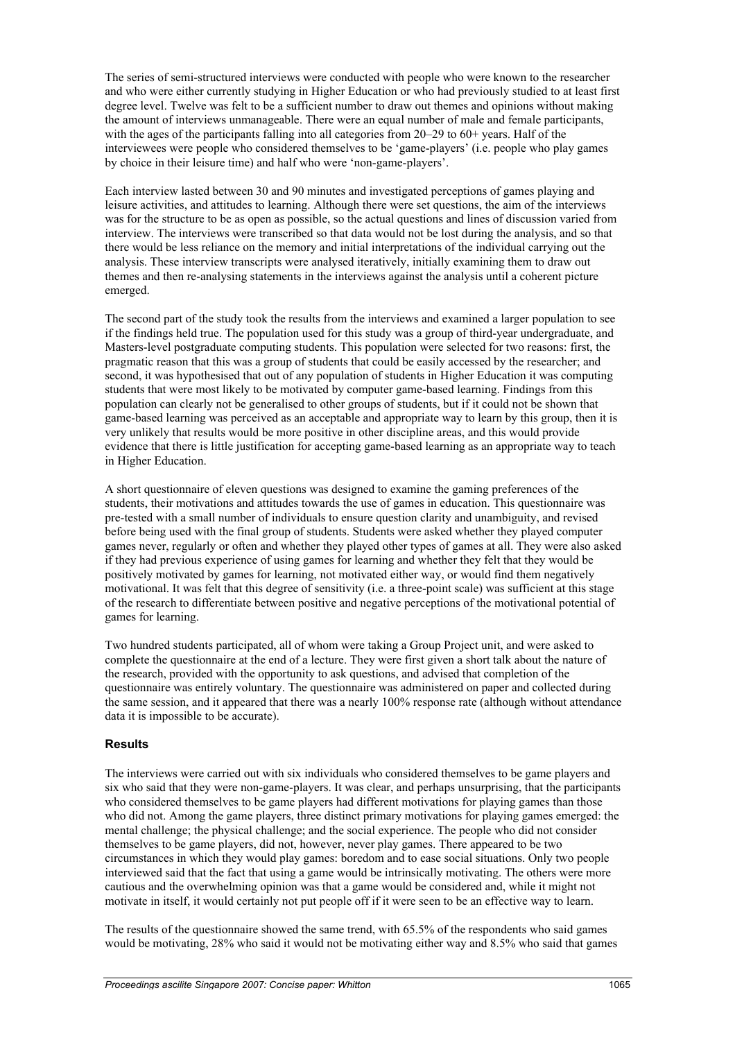The series of semi-structured interviews were conducted with people who were known to the researcher and who were either currently studying in Higher Education or who had previously studied to at least first degree level. Twelve was felt to be a sufficient number to draw out themes and opinions without making the amount of interviews unmanageable. There were an equal number of male and female participants, with the ages of the participants falling into all categories from  $20-29$  to  $60+$  years. Half of the interviewees were people who considered themselves to be 'game-players' (i.e. people who play games by choice in their leisure time) and half who were 'non-game-players'.

Each interview lasted between 30 and 90 minutes and investigated perceptions of games playing and leisure activities, and attitudes to learning. Although there were set questions, the aim of the interviews was for the structure to be as open as possible, so the actual questions and lines of discussion varied from interview. The interviews were transcribed so that data would not be lost during the analysis, and so that there would be less reliance on the memory and initial interpretations of the individual carrying out the analysis. These interview transcripts were analysed iteratively, initially examining them to draw out themes and then re-analysing statements in the interviews against the analysis until a coherent picture emerged.

The second part of the study took the results from the interviews and examined a larger population to see if the findings held true. The population used for this study was a group of third-year undergraduate, and Masters-level postgraduate computing students. This population were selected for two reasons: first, the pragmatic reason that this was a group of students that could be easily accessed by the researcher; and second, it was hypothesised that out of any population of students in Higher Education it was computing students that were most likely to be motivated by computer game-based learning. Findings from this population can clearly not be generalised to other groups of students, but if it could not be shown that game-based learning was perceived as an acceptable and appropriate way to learn by this group, then it is very unlikely that results would be more positive in other discipline areas, and this would provide evidence that there is little justification for accepting game-based learning as an appropriate way to teach in Higher Education.

A short questionnaire of eleven questions was designed to examine the gaming preferences of the students, their motivations and attitudes towards the use of games in education. This questionnaire was pre-tested with a small number of individuals to ensure question clarity and unambiguity, and revised before being used with the final group of students. Students were asked whether they played computer games never, regularly or often and whether they played other types of games at all. They were also asked if they had previous experience of using games for learning and whether they felt that they would be positively motivated by games for learning, not motivated either way, or would find them negatively motivational. It was felt that this degree of sensitivity (i.e. a three-point scale) was sufficient at this stage of the research to differentiate between positive and negative perceptions of the motivational potential of games for learning.

Two hundred students participated, all of whom were taking a Group Project unit, and were asked to complete the questionnaire at the end of a lecture. They were first given a short talk about the nature of the research, provided with the opportunity to ask questions, and advised that completion of the questionnaire was entirely voluntary. The questionnaire was administered on paper and collected during the same session, and it appeared that there was a nearly 100% response rate (although without attendance data it is impossible to be accurate).

#### **Results**

The interviews were carried out with six individuals who considered themselves to be game players and six who said that they were non-game-players. It was clear, and perhaps unsurprising, that the participants who considered themselves to be game players had different motivations for playing games than those who did not. Among the game players, three distinct primary motivations for playing games emerged: the mental challenge; the physical challenge; and the social experience. The people who did not consider themselves to be game players, did not, however, never play games. There appeared to be two circumstances in which they would play games: boredom and to ease social situations. Only two people interviewed said that the fact that using a game would be intrinsically motivating. The others were more cautious and the overwhelming opinion was that a game would be considered and, while it might not motivate in itself, it would certainly not put people off if it were seen to be an effective way to learn.

The results of the questionnaire showed the same trend, with 65.5% of the respondents who said games would be motivating, 28% who said it would not be motivating either way and 8.5% who said that games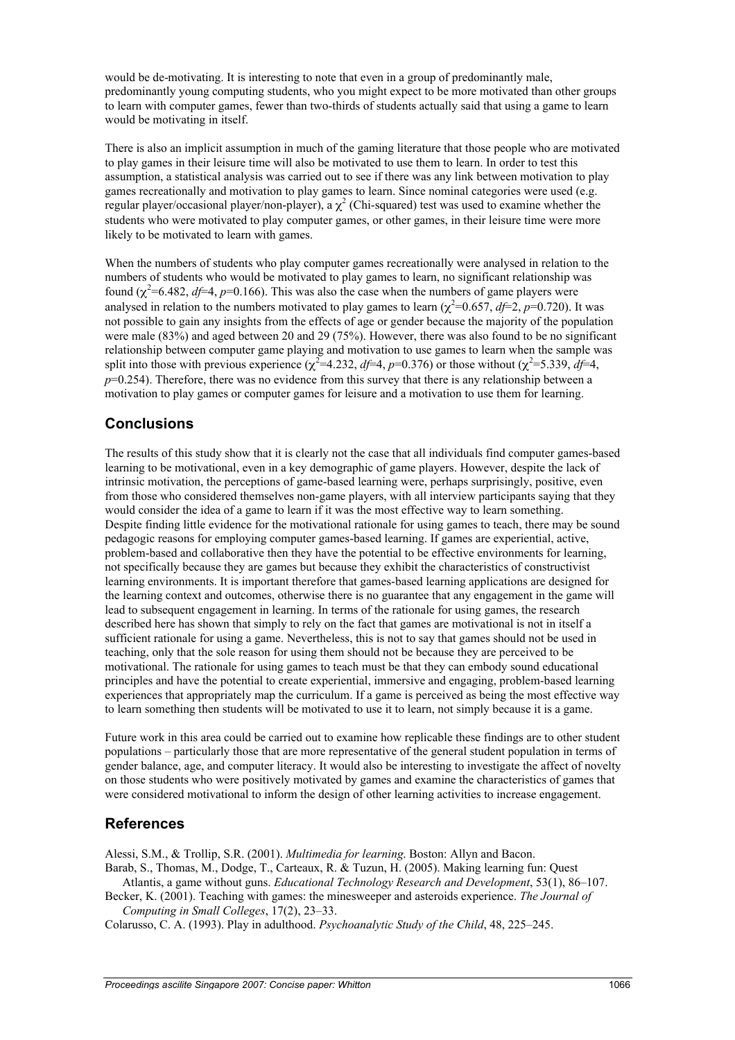would be de-motivating. It is interesting to note that even in a group of predominantly male, predominantly young computing students, who you might expect to be more motivated than other groups to learn with computer games, fewer than two-thirds of students actually said that using a game to learn would be motivating in itself.

There is also an implicit assumption in much of the gaming literature that those people who are motivated to play games in their leisure time will also be motivated to use them to learn. In order to test this assumption, a statistical analysis was carried out to see if there was any link between motivation to play games recreationally and motivation to play games to learn. Since nominal categories were used (e.g. regular player/occasional player/non-player), a  $\chi^2$  (Chi-squared) test was used to examine whether the students who were motivated to play computer games, or other games, in their leisure time were more likely to be motivated to learn with games.

When the numbers of students who play computer games recreationally were analysed in relation to the numbers of students who would be motivated to play games to learn, no significant relationship was found  $(\chi^2=6.482, df=4, p=0.166)$ . This was also the case when the numbers of game players were analysed in relation to the numbers motivated to play games to learn  $(\chi^2=0.657, df=2, p=0.720)$ . It was not possible to gain any insights from the effects of age or gender because the majority of the population were male (83%) and aged between 20 and 29 (75%). However, there was also found to be no significant relationship between computer game playing and motivation to use games to learn when the sample was split into those with previous experience ( $\chi^2$ =4.232, *df*=4, *p*=0.376) or those without ( $\chi^2$ =5.339, *df*=4, *p*=0.254). Therefore, there was no evidence from this survey that there is any relationship between a motivation to play games or computer games for leisure and a motivation to use them for learning.

## **Conclusions**

The results of this study show that it is clearly not the case that all individuals find computer games-based learning to be motivational, even in a key demographic of game players. However, despite the lack of intrinsic motivation, the perceptions of game-based learning were, perhaps surprisingly, positive, even from those who considered themselves non-game players, with all interview participants saying that they would consider the idea of a game to learn if it was the most effective way to learn something. Despite finding little evidence for the motivational rationale for using games to teach, there may be sound pedagogic reasons for employing computer games-based learning. If games are experiential, active, problem-based and collaborative then they have the potential to be effective environments for learning, not specifically because they are games but because they exhibit the characteristics of constructivist learning environments. It is important therefore that games-based learning applications are designed for the learning context and outcomes, otherwise there is no guarantee that any engagement in the game will lead to subsequent engagement in learning. In terms of the rationale for using games, the research described here has shown that simply to rely on the fact that games are motivational is not in itself a sufficient rationale for using a game. Nevertheless, this is not to say that games should not be used in teaching, only that the sole reason for using them should not be because they are perceived to be motivational. The rationale for using games to teach must be that they can embody sound educational principles and have the potential to create experiential, immersive and engaging, problem-based learning experiences that appropriately map the curriculum. If a game is perceived as being the most effective way to learn something then students will be motivated to use it to learn, not simply because it is a game.

Future work in this area could be carried out to examine how replicable these findings are to other student populations – particularly those that are more representative of the general student population in terms of gender balance, age, and computer literacy. It would also be interesting to investigate the affect of novelty on those students who were positively motivated by games and examine the characteristics of games that were considered motivational to inform the design of other learning activities to increase engagement.

### **References**

Alessi, S.M., & Trollip, S.R. (2001). *Multimedia for learning*. Boston: Allyn and Bacon.

Barab, S., Thomas, M., Dodge, T., Carteaux, R. & Tuzun, H. (2005). Making learning fun: Quest Atlantis, a game without guns. *Educational Technology Research and Development*, 53(1), 86–107.

Becker, K. (2001). Teaching with games: the minesweeper and asteroids experience. *The Journal of Computing in Small Colleges*, 17(2), 23–33.

Colarusso, C. A. (1993). Play in adulthood. *Psychoanalytic Study of the Child*, 48, 225–245.